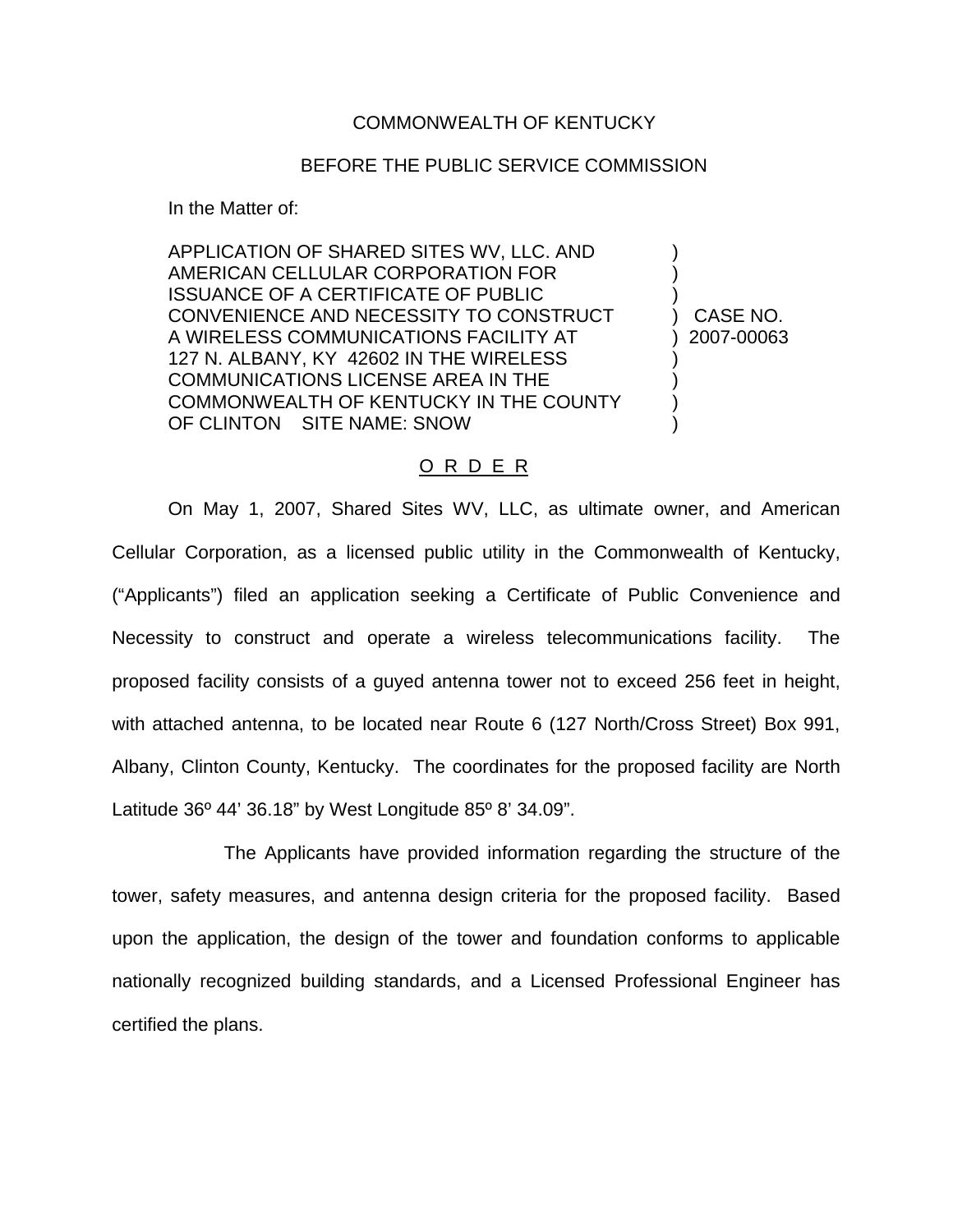## COMMONWEALTH OF KENTUCKY

## BEFORE THE PUBLIC SERVICE COMMISSION

In the Matter of:

APPLICATION OF SHARED SITES WV, LLC. AND ) AMERICAN CELLULAR CORPORATION FOR ) ISSUANCE OF A CERTIFICATE OF PUBLIC ) CONVENIENCE AND NECESSITY TO CONSTRUCT ) CASE NO. A WIRELESS COMMUNICATIONS FACILITY AT ) 2007-00063 127 N. ALBANY, KY 42602 IN THE WIRELESS COMMUNICATIONS LICENSE AREA IN THE ) COMMONWEALTH OF KENTUCKY IN THE COUNTY OF CLINTON SITE NAME: SNOW

## O R D E R

On May 1, 2007, Shared Sites WV, LLC, as ultimate owner, and American Cellular Corporation, as a licensed public utility in the Commonwealth of Kentucky, ("Applicants") filed an application seeking a Certificate of Public Convenience and Necessity to construct and operate a wireless telecommunications facility. The proposed facility consists of a guyed antenna tower not to exceed 256 feet in height, with attached antenna, to be located near Route 6 (127 North/Cross Street) Box 991, Albany, Clinton County, Kentucky. The coordinates for the proposed facility are North Latitude 36º 44' 36.18" by West Longitude 85º 8' 34.09".

The Applicants have provided information regarding the structure of the tower, safety measures, and antenna design criteria for the proposed facility. Based upon the application, the design of the tower and foundation conforms to applicable nationally recognized building standards, and a Licensed Professional Engineer has certified the plans.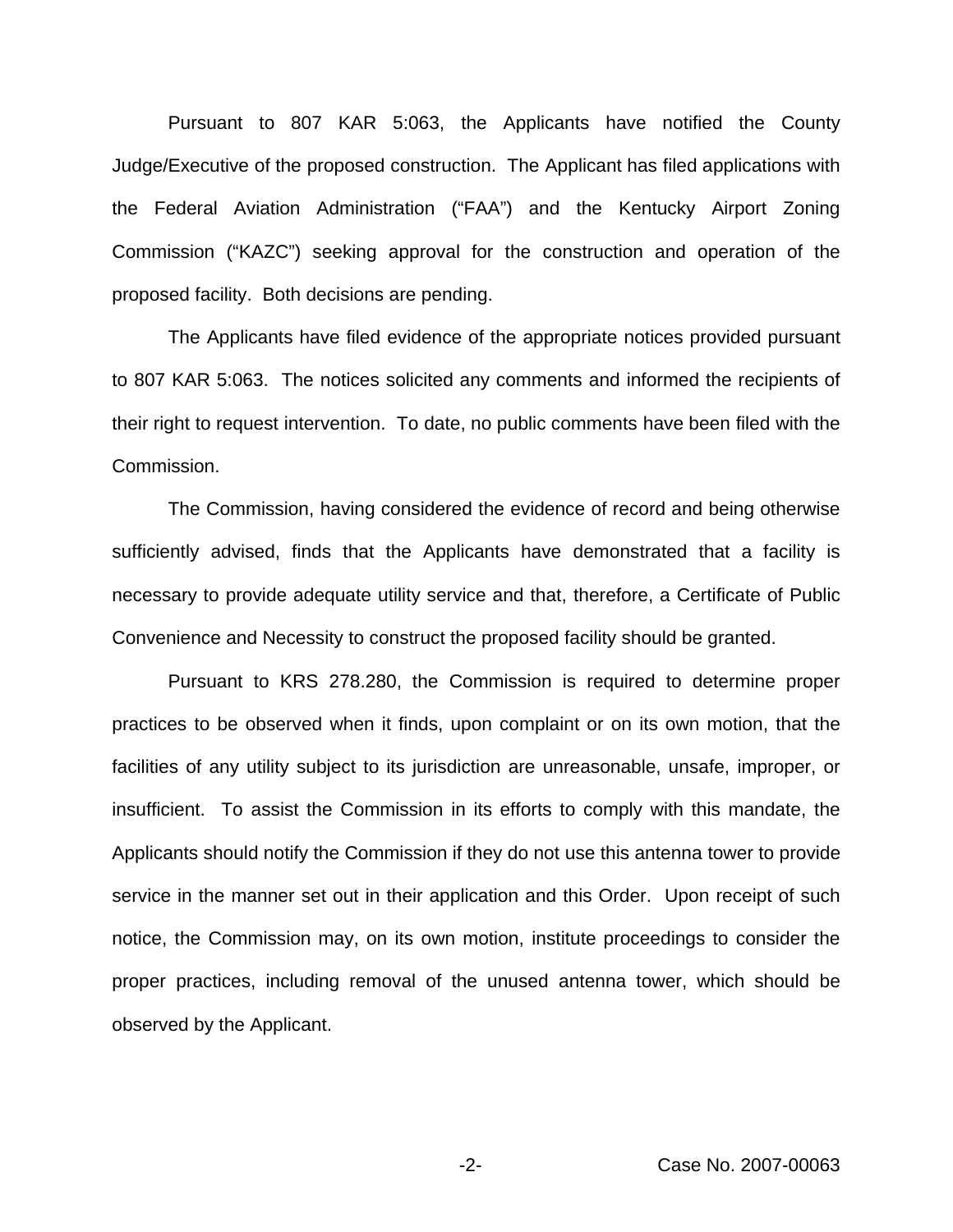Pursuant to 807 KAR 5:063, the Applicants have notified the County Judge/Executive of the proposed construction. The Applicant has filed applications with the Federal Aviation Administration ("FAA") and the Kentucky Airport Zoning Commission ("KAZC") seeking approval for the construction and operation of the proposed facility. Both decisions are pending.

The Applicants have filed evidence of the appropriate notices provided pursuant to 807 KAR 5:063. The notices solicited any comments and informed the recipients of their right to request intervention. To date, no public comments have been filed with the Commission.

The Commission, having considered the evidence of record and being otherwise sufficiently advised, finds that the Applicants have demonstrated that a facility is necessary to provide adequate utility service and that, therefore, a Certificate of Public Convenience and Necessity to construct the proposed facility should be granted.

Pursuant to KRS 278.280, the Commission is required to determine proper practices to be observed when it finds, upon complaint or on its own motion, that the facilities of any utility subject to its jurisdiction are unreasonable, unsafe, improper, or insufficient. To assist the Commission in its efforts to comply with this mandate, the Applicants should notify the Commission if they do not use this antenna tower to provide service in the manner set out in their application and this Order. Upon receipt of such notice, the Commission may, on its own motion, institute proceedings to consider the proper practices, including removal of the unused antenna tower, which should be observed by the Applicant.